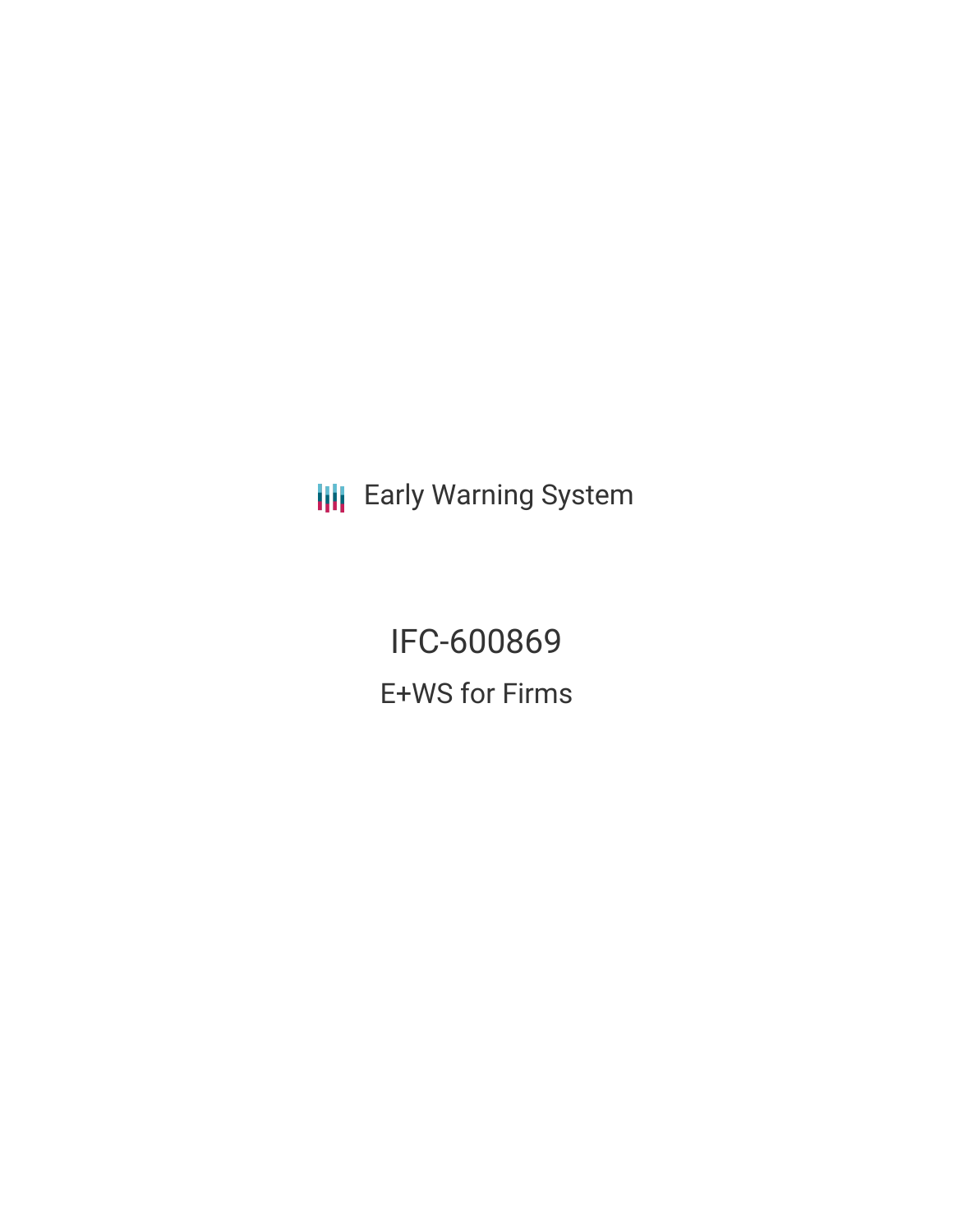**III** Early Warning System

IFC-600869 E+WS for Firms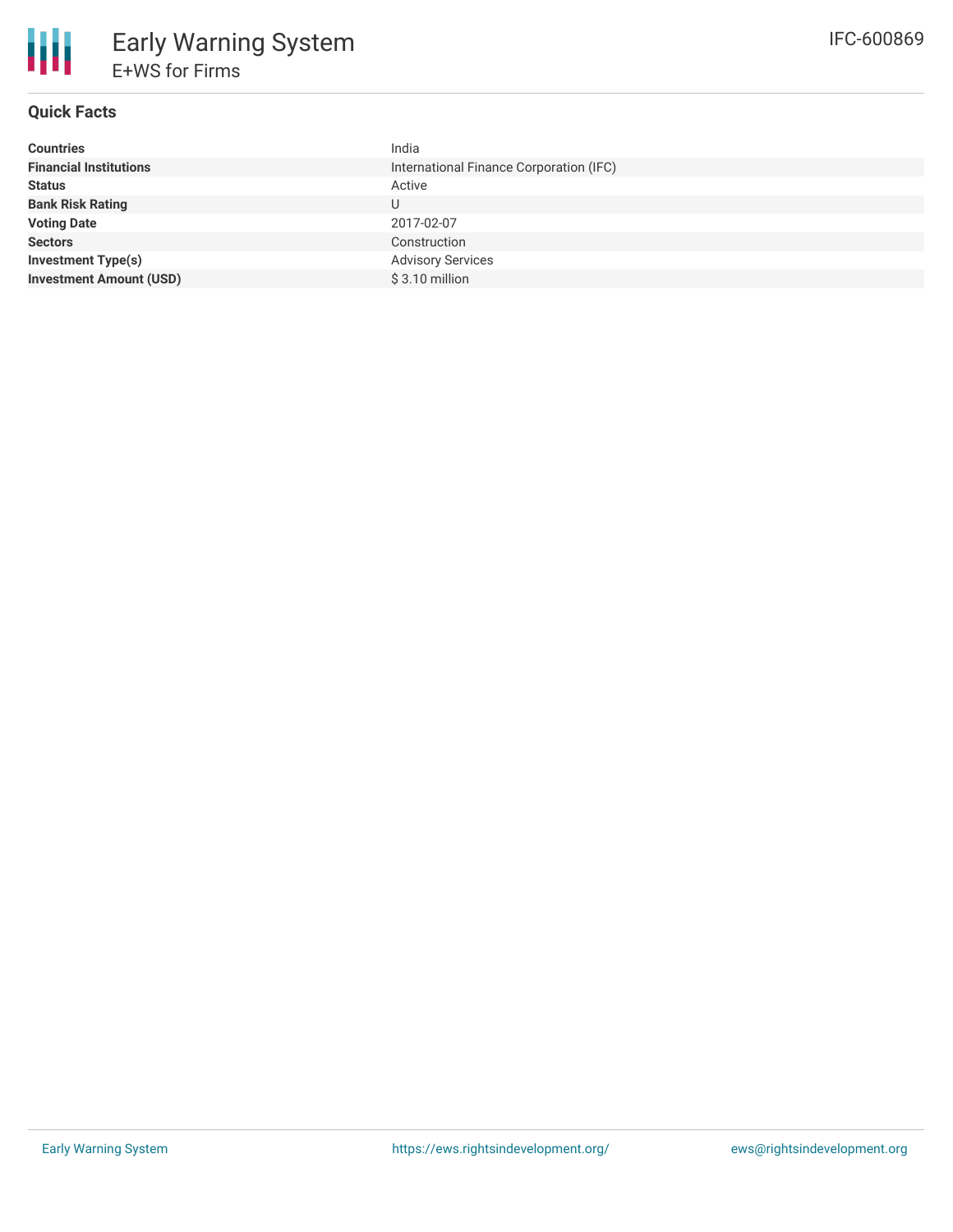# **Quick Facts**

| <b>Countries</b>               | India                                   |
|--------------------------------|-----------------------------------------|
| <b>Financial Institutions</b>  | International Finance Corporation (IFC) |
| <b>Status</b>                  | Active                                  |
| <b>Bank Risk Rating</b>        | U                                       |
| <b>Voting Date</b>             | 2017-02-07                              |
| <b>Sectors</b>                 | Construction                            |
| <b>Investment Type(s)</b>      | <b>Advisory Services</b>                |
| <b>Investment Amount (USD)</b> | $$3.10$ million                         |
|                                |                                         |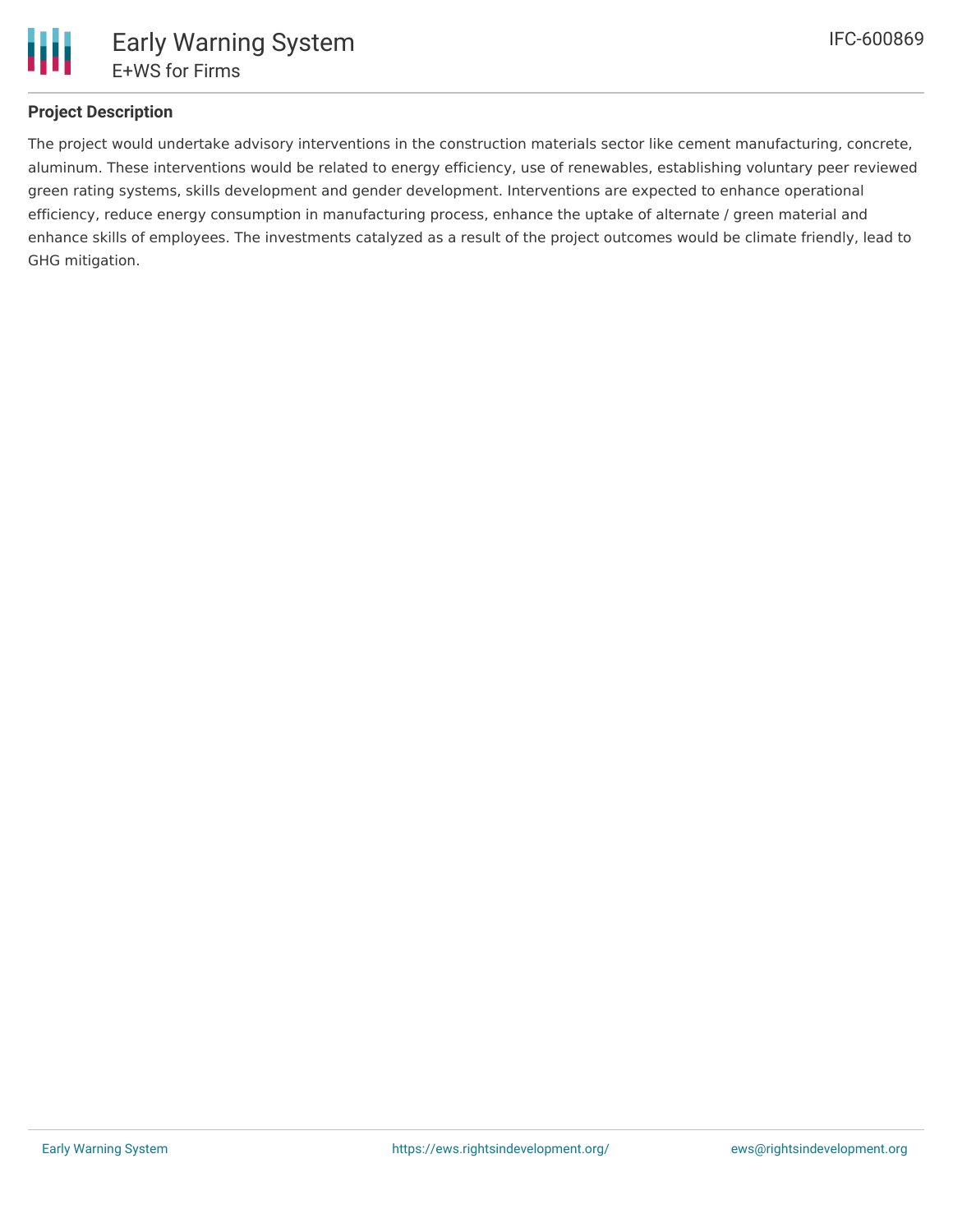

# **Project Description**

The project would undertake advisory interventions in the construction materials sector like cement manufacturing, concrete, aluminum. These interventions would be related to energy efficiency, use of renewables, establishing voluntary peer reviewed green rating systems, skills development and gender development. Interventions are expected to enhance operational efficiency, reduce energy consumption in manufacturing process, enhance the uptake of alternate / green material and enhance skills of employees. The investments catalyzed as a result of the project outcomes would be climate friendly, lead to GHG mitigation.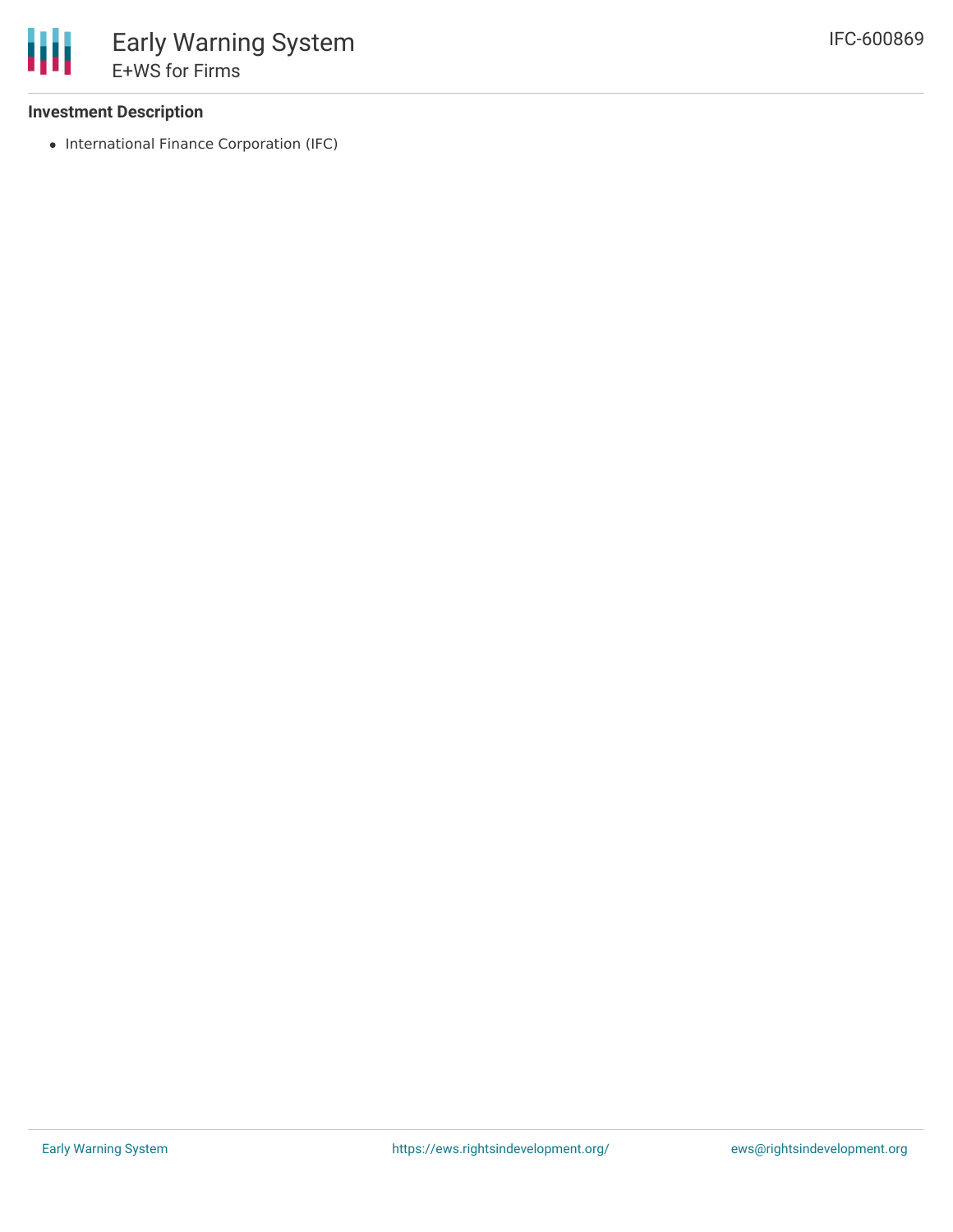### **Investment Description**

• International Finance Corporation (IFC)